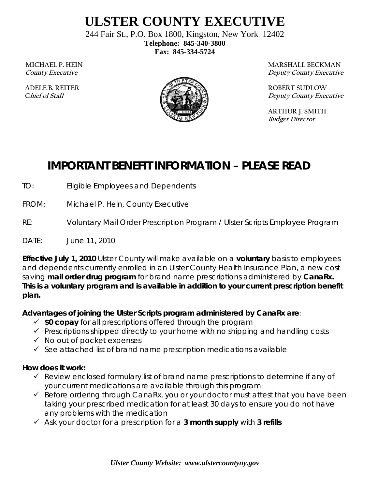# **ULSTER COUNTY EXECUTIVE**

244 Fair St., P.O. Box 1800, Kingston, New York 12402 **Telephone: 845-340-3800 Fax: 845-334-5724** 

**MICHAEL P. HEIN County Executive** 

 **ADELE B. REITER Chief of Staff**



**MARSHALL BECKMAN Deputy County Executive** 

**ROBERT SUDLOW Deputy County Executive** 

**ARTHUR J. SMITH Budget Director** 

## **IMPORTANT BENEFIT INFORMATION – PLEASE READ**

TO: Eligible Employees and Dependents

FROM: Michael P. Hein, County Executive

RE: Voluntary Mail Order Prescription Program / Ulster Scripts Employee Program

DATE: June 11, 2010

**Effective July 1, 2010** Ulster County will make available on a **voluntary** basis to employees and dependents currently enrolled in an Ulster County Health Insurance Plan, a new cost saving **mail order drug program** for *brand name prescriptions a*dministered by **CanaRx. This is a voluntary program and is available in addition to your current prescription benefit plan.** 

### **Advantages of joining the Ulster Scripts program administered by CanaRx are**:

- **\$0 copay** for all prescriptions offered through the program
- $\checkmark$  Prescriptions shipped directly to your home with no shipping and handling costs
- $\checkmark$  No out of pocket expenses
- $\checkmark$  See attached list of brand name prescription medications available

### **How does it work:**

- $\checkmark$  Review enclosed formulary list of brand name prescriptions to determine if any of your current medications are available through this program
- $\checkmark$  Before ordering through CanaRx, you or your doctor must attest that you have been taking your prescribed medication for at least 30 days to ensure you do not have any problems with the medication
- Ask your doctor for a prescription for a **3 month supply** with **3 refills**